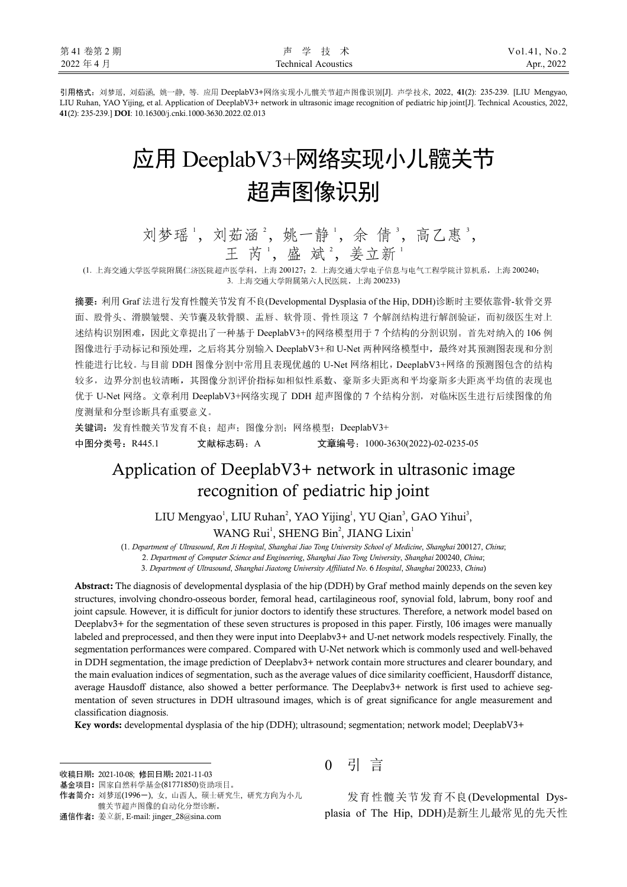引用格式:刘梦瑶, 刘茹涵, 姚一静, 等. 应用 DeeplabV3+网络实现小儿髋关节超声图像识别[J]. 声学技术, 2022, **41**(2): 235-239. [LIU Mengyao, LIU Ruhan, YAO Yijing, et al. Application of DeeplabV3+ network in ultrasonic image recognition of pediatric hip joint[J]. Technical Acoustics, 2022, **41**(2): 235-239.] **DOI**: 10.16300/j.cnki.1000-3630.2022.02.013

# 应用 DeeplabV3+网络实现小儿髋关节 超声图像识别

刘梦瑶', 刘茹涵2, 姚一静', 余倩3, 高乙惠3, 王 芮 ', 盛 斌 ', 姜立新 '

(1. 上海交通大学医学院附属仁济医院超声医学科,上海 200127;2. 上海交通大学电子信息与电气工程学院计算机系,上海 200240; 3. 上海交通大学附属第六人民医院,上海 200233)

摘要:利用 Graf 法进行发育性髋关节发育不良(Developmental Dysplasia of the Hip, DDH)诊断时主要依靠骨-软骨交界 面、股骨头、滑膜皱襞、关节囊及软骨膜、盂唇、软骨顶、骨性顶这 7 个解剖结构进行解剖验证,而初级医生对上 达结构识别困难,因此文章提出了一种基于 DeeplabV3+的网络模型用于 7 个结构的分割识别。首先对纳入的 106 例 图像进行手动标记和预处理,之后将其分别输入 DeeplabV3+和 U-Net 两种网络模型中,最终对其预测图表现和分割 性能进行比较。与目前 DDH 图像分割中常用且表现优越的 U-Net 网络相比,DeeplabV3+网络的预测图包含的结构 较多,边界分割也较清晰,其图像分割评价指标如相似性系数、豪斯多夫距离和平均豪斯多夫距离平均值的表现也 优于 U-Net 网络。文章利用 DeeplabV3+网络实现了 DDH 超声图像的 7 个结构分割, 对临床医生进行后续图像的角 度测量和分型诊断具有重要意义。

关键词: 发育性髋关节发育不良;超声; 图像分割; 网络模型; DeeplabV3+

中图分类号: R445.1 文献标志码: A 文章编号: 1000-3630(2022)-02-0235-05

# Application of DeeplabV3+ network in ultrasonic image recognition of pediatric hip joint

LIU Mengyao<sup>1</sup>, LIU Ruhan<sup>2</sup>, YAO Yijing<sup>1</sup>, YU Qian<sup>3</sup>, GAO Yihui<sup>3</sup>, WANG Rui<sup>1</sup>, SHENG Bin<sup>2</sup>, JIANG Lixin<sup>1</sup>

(1. *Department of Ultrasound*, *Ren Ji Hospital*, *Shanghai Jiao Tong University School of Medicine*, *Shanghai* 200127, *China*;

2. *Department of Computer Science and Engineering*, *Shanghai Jiao Tong University*, *Shanghai* 200240, *China*;

3. *Department of Ultrasound*, *Shanghai Jiaotong University Affiliated No*. 6 *Hospital*, *Shanghai* 200233, *China*)

**Abstract:** The diagnosis of developmental dysplasia of the hip (DDH) by Graf method mainly depends on the seven key structures, involving chondro-osseous border, femoral head, cartilagineous roof, synovial fold, labrum, bony roof and joint capsule. However, it is difficult for junior doctors to identify these structures. Therefore, a network model based on Deeplabv3+ for the segmentation of these seven structures is proposed in this paper. Firstly, 106 images were manually labeled and preprocessed, and then they were input into Deeplabv3+ and U-net network models respectively. Finally, the segmentation performances were compared. Compared with U-Net network which is commonly used and well-behaved in DDH segmentation, the image prediction of Deeplabv3+ network contain more structures and clearer boundary, and the main evaluation indices of segmentation, such as the average values of dice similarity coefficient, Hausdorff distance, average Hausdoff distance, also showed a better performance. The Deeplabv3+ network is first used to achieve segmentation of seven structures in DDH ultrasound images, which is of great significance for angle measurement and classification diagnosis.

**Key words:** developmental dysplasia of the hip (DDH); ultrasound; segmentation; network model; DeeplabV3+

收稿日期**:** 2021-10-08; 修回日期**:** 2021-11-03

j

0 引 言

发育性髋关节发育不良(Developmental Dysplasia of The Hip, DDH)是新生儿最常见的先天性

基金项目**:** 国家自然科学基金(81771850)资助项目。

作者简介**:** 刘梦瑶(1996-), 女, 山西人, 硕士研究生, 研究方向为小儿 髋关节超声图像的自动化分型诊断。

通信作者**:** 姜立新, E-mail: jinger\_28@sina.com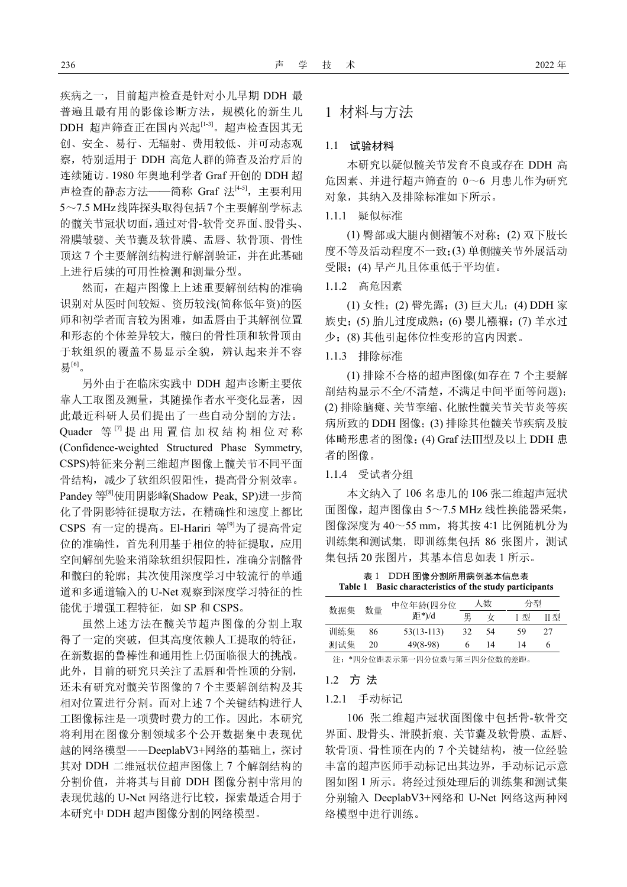疾病之一,目前超声检查是针对小儿早期 DDH 最 普遍且最有用的影像诊断方法,规模化的新生儿 DDH 超声筛查正在国内兴起[1-3]。超声检查因其无 创、安全、易行、无辐射、费用较低、并可动态观 察,特别适用于 DDH 高危人群的筛查及治疗后的 连续随访。1980 年奥地利学者 Graf 开创的 DDH 超 声检查的静态方法——简称 Graf 法[45], 主要利用 5~7.5 MHz线阵探头取得包括7个主要解剖学标志 的髋关节冠状切面,通过对骨-软骨交界面、股骨头、 滑膜皱襞、关节囊及软骨膜、盂唇、软骨顶、骨性 顶这 7 个主要解剖结构进行解剖验证,并在此基础 上进行后续的可用性检测和测量分型。

然而,在超声图像上上述重要解剖结构的准确 识别对从医时间较短、资历较浅(简称低年资)的医 师和初学者而言较为困难,如盂唇由于其解剖位置 和形态的个体差异较大,髋臼的骨性顶和软骨顶由 于软组织的覆盖不易显示全貌,辨认起来并不容 易[6]。

另外由于在临床实践中 DDH 超声诊断主要依 靠人工取图及测量,其随操作者水平变化显著,因 此最近科研人员们提出了一些自动分割的方法。 Quader 等<sup>[7]</sup> 提 出 用 置 信 加 权 结 构 相 位 对 称 (Confidence-weighted Structured Phase Symmetry, CSPS)特征来分割三维超声图像上髋关节不同平面 骨结构,减少了软组织假阳性,提高骨分割效率。 Pandey 等[8]使用阴影峰(Shadow Peak, SP)进一步简 化了骨阴影特征提取方法,在精确性和速度上都比 CSPS 有一定的提高。El-Hariri 等[9]为了提高骨定 位的准确性,首先利用基于相位的特征提取,应用 空间解剖先验来消除软组织假阳性,准确分割髂骨 和髋臼的轮廓;其次使用深度学习中较流行的单通 道和多通道输入的 U-Net 观察到深度学习特征的性 能优于增强工程特征,如 SP 和 CSPS。

虽然上述方法在髋关节超声图像的分割上取 得了一定的突破,但其高度依赖人工提取的特征, 在新数据的鲁棒性和通用性上仍面临很大的挑战。 此外,目前的研究只关注了盂唇和骨性顶的分割, 还未有研究对髋关节图像的 7 个主要解剖结构及其 相对位置进行分割。而对上述 7 个关键结构进行人 工图像标注是一项费时费力的工作。因此,本研究 将利用在图像分割领域多个公开数据集中表现优 越的网络模型——DeeplabV3+网络的基础上,探讨 其对 DDH 二维冠状位超声图像上 7 个解剖结构的 分割价值,并将其与目前 DDH 图像分割中常用的 表现优越的 U-Net 网络进行比较,探索最适合用于 本研究中 DDH 超声图像分割的网络模型。

### 1 材料与方法

#### 1.1 试验材料

本研究以疑似髋关节发育不良或存在 DDH 高 危因素、并进行超声筛查的 0~6 月患儿作为研究 对象,其纳入及排除标准如下所示。

#### 1.1.1 疑似标准

(1) 臀部或大腿内侧褶皱不对称;(2) 双下肢长 度不等及活动程度不一致;(3) 单侧髋关节外展活动 受限;(4) 早产儿且体重低于平均值。

#### 1.1.2 高危因素

(1) 女性;(2) 臀先露;(3) 巨大儿;(4) DDH 家 族史;(5) 胎儿过度成熟;(6) 婴儿襁褓;(7) 羊水过 少;(8) 其他引起体位性变形的宫内因素。

#### 1.1.3 排除标准

(1) 排除不合格的超声图像(如存在 7 个主要解 剖结构显示不全/不清楚,不满足中间平面等问题); (2) 排除脑瘫、关节挛缩、化脓性髋关节关节炎等疾 病所致的 DDH 图像;(3) 排除其他髋关节疾病及肢 体畸形患者的图像;(4) Graf 法Ⅲ型及以上 DDH 患 者的图像。

#### 1.1.4 受试者分组

本文纳入了 106 名患儿的 106 张二维超声冠状 面图像,超声图像由 5~7.5 MHz 线性换能器采集, 图像深度为 40~55 mm,将其按 4:1 比例随机分为 训练集和测试集,即训练集包括 86 张图片,测试 集包括 20 张图片, 其基本信息如表 1 所示。

表 1 DDH 图像分割所用病例基本信息表 **Table 1 Basic characteristics of the study participants** 

| 数据集 | 数量 | 中位年龄(四分位<br>距*)/d | 人数 |    | 分型 |     |
|-----|----|-------------------|----|----|----|-----|
|     |    |                   | 男  | tr | 型  | Ⅱ 型 |
| 训练集 | 86 | $53(13-113)$      | 32 | 54 | 59 | 27  |
| 测试集 | 20 | $49(8-98)$        |    | 14 | 14 | 6   |

注:\*四分位距表示第一四分位数与第三四分位数的差距。

#### 1.2 方 法

#### 1.2.1 手动标记

106 张二维超声冠状面图像中包括骨-软骨交 界面、股骨头、滑膜折痕、关节囊及软骨膜、盂唇、 软骨顶、骨性顶在内的 7 个关键结构, 被一位经验 丰富的超声医师手动标记出其边界,手动标记示意 图如图 1 所示。将经过预处理后的训练集和测试集 分别输入 DeeplabV3+网络和 U-Net 网络这两种网 络模型中进行训练。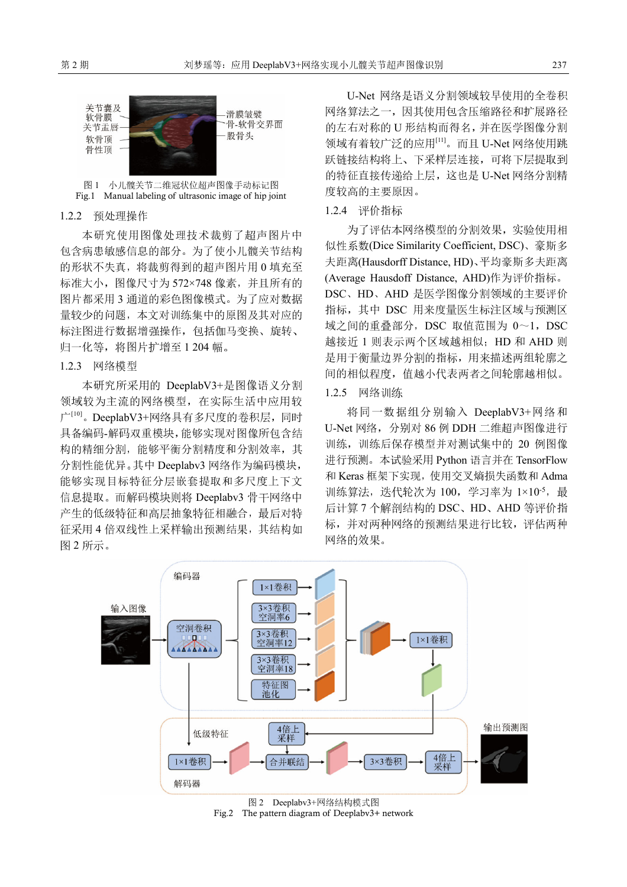

图 1 小儿髋关节二维冠状位超声图像手动标记图 Fig.1 Manual labeling of ultrasonic image of hip joint

#### 1.2.2 预处理操作

本研究使用图像处理技术裁剪了超声图片中 包含病患敏感信息的部分。为了使小儿髋关节结构 的形状不失真,将裁剪得到的超声图片用 0 填充至 标准大小,图像尺寸为 572×748 像素,并且所有的 图片都采用 3 通道的彩色图像模式。为了应对数据 量较少的问题,本文对训练集中的原图及其对应的 标注图进行数据增强操作,包括伽马变换、旋转、 归一化等,将图片扩增至 1 204 幅。

#### 1.2.3 网络模型

本研究所采用的 DeeplabV3+是图像语义分割 领域较为主流的网络模型,在实际生活中应用较 广[10]。DeeplabV3+网络具有多尺度的卷积层,同时 具备编码-解码双重模块,能够实现对图像所包含结 构的精细分割,能够平衡分割精度和分割效率,其 分割性能优异。其中 Deeplabv3 网络作为编码模块, 能够实现目标特征分层嵌套提取和多尺度上下文 信息提取。而解码模块则将 Deeplabv3 骨干网络中 产生的低级特征和高层抽象特征相融合,最后对特 征采用 4 倍双线性上采样输出预测结果,其结构如 图 2 所示。

U-Net 网络是语义分割领域较早使用的全卷积 网络算法之一,因其使用包含压缩路径和扩展路径 的左右对称的 U 形结构而得名,并在医学图像分割 领域有着较广泛的应用[11]。而且 U-Net 网络使用跳 跃链接结构将上、下采样层连接,可将下层提取到 的特征直接传递给上层,这也是 U-Net 网络分割精 度较高的主要原因。

#### 1.2.4 评价指标

为了评估本网络模型的分割效果,实验使用相 似性系数(Dice Similarity Coefficient, DSC)、豪斯多 夫距离(Hausdorff Distance, HD)、平均豪斯多夫距离 (Average Hausdoff Distance, AHD)作为评价指标。 DSC、HD、AHD 是医学图像分割领域的主要评价 指标,其中 DSC 用来度量医生标注区域与预测区 域之间的重叠部分, DSC 取值范围为 0~1, DSC 越接近 1 则表示两个区域越相似;HD 和 AHD 则 是用于衡量边界分割的指标,用来描述两组轮廓之 间的相似程度,值越小代表两者之间轮廓越相似。

# 1.2.5 网络训练

将同一数据组分别输入 DeeplabV3+网络和 U-Net 网络,分别对 86 例 DDH 二维超声图像进行 训练,训练后保存模型并对测试集中的 20 例图像 进行预测。本试验采用 Python 语言并在 TensorFlow 和 Keras 框架下实现,使用交叉熵损失函数和 Adma 训练算法,迭代轮次为 100,学习率为 1×10-5,最 后计算 7 个解剖结构的 DSC、HD、AHD 等评价指 标,并对两种网络的预测结果进行比较,评估两种 网络的效果。



Fig.2 The pattern diagram of Deeplabv3+ network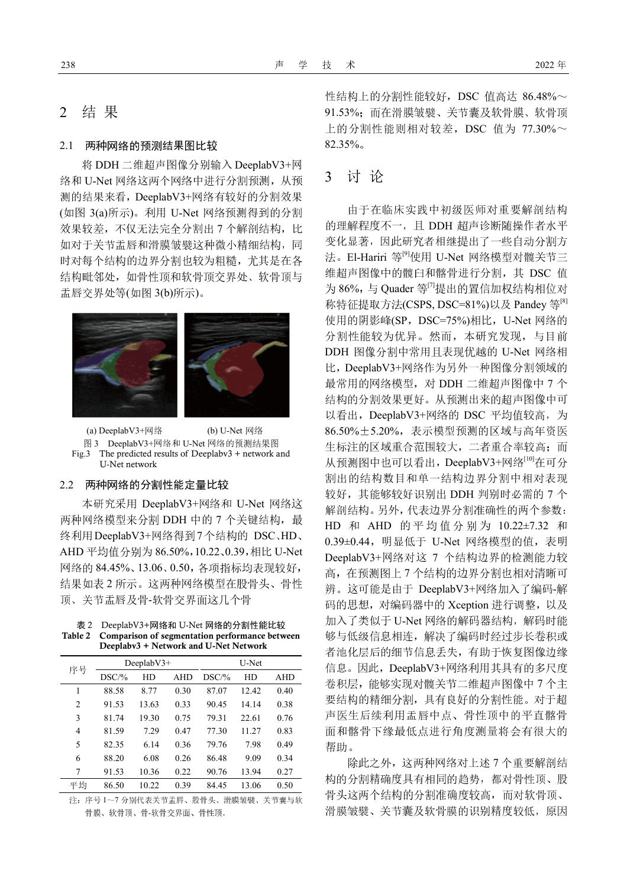# 2 结 果

#### 2.1 两种网络的预测结果图比较

将 DDH 二维超声图像分别输入 DeeplabV3+网 络和 U-Net 网络这两个网络中进行分割预测,从预 测的结果来看,DeeplabV3+网络有较好的分割效果 (如图 3(a)所示)。利用 U-Net 网络预测得到的分割 效果较差,不仅无法完全分割出 7 个解剖结构,比 如对于关节盂唇和滑膜皱襞这种微小精细结构,同 时对每个结构的边界分割也较为粗糙,尤其是在各 结构毗邻处,如骨性顶和软骨顶交界处、软骨顶与 盂唇交界处等(如图 3(b)所示)。



(a) DeeplabV3+网络 (b) U-Net 网络 图 3 DeeplabV3+网络和 U-Net 网络的预测结果图 Fig.3 The predicted results of Deeplabv3 + network and U-Net network

#### 2.2 两种网络的分割性能定量比较

本研究采用 DeeplabV3+网络和 U-Net 网络这 两种网络模型来分割 DDH 中的 7 个关键结构, 最 终利用DeeplabV3+网络得到7个结构的 DSC、HD、 AHD 平均值分别为 86.50%,10.22、0.39,相比 U-Net 网络的 84.45%、13.06、0.50,各项指标均表现较好, 结果如表 2 所示。这两种网络模型在股骨头、骨性 顶、关节盂唇及骨-软骨交界面这几个骨

表 2 DeeplabV3+网络和 U-Net 网络的分割性能比较 **Table 2 Comparison of segmentation performance between Deeplabv3 + Network and U-Net Network** 

| 序号             | Deeplab $V3+$ |       |            | U-Net |       |            |
|----------------|---------------|-------|------------|-------|-------|------------|
|                | DSC/%         | HD    | <b>AHD</b> | DSC/% | HD    | <b>AHD</b> |
| 1              | 88.58         | 8.77  | 0.30       | 87.07 | 12.42 | 0.40       |
| $\overline{c}$ | 91.53         | 13.63 | 0.33       | 90.45 | 14.14 | 0.38       |
| 3              | 81.74         | 19.30 | 0.75       | 79.31 | 22.61 | 0.76       |
| $\overline{4}$ | 81.59         | 7.29  | 0.47       | 77.30 | 11.27 | 0.83       |
| 5              | 82.35         | 6.14  | 0.36       | 79.76 | 7.98  | 0.49       |
| 6              | 88.20         | 6.08  | 0.26       | 86.48 | 9.09  | 0.34       |
| 7              | 91.53         | 10.36 | 0.22       | 90.76 | 13.94 | 0.27       |
| 平均             | 86.50         | 10.22 | 0.39       | 84.45 | 13.06 | 0.50       |

注:序号 1~7 分别代表关节盂唇、股骨头、滑膜皱襞、关节囊与软 骨膜、软骨顶、骨-软骨交界面、骨性顶。

性结构上的分割性能较好, DSC 值高达 86.48%~ 91.53%;而在滑膜皱襞、关节囊及软骨膜、软骨顶 上的分割性能则相对较差,DSC 值为  $77.30\% \sim$ 82.35%。

# 3 讨 论

由于在临床实践中初级医师对重要解剖结构 的理解程度不一,且 DDH 超声诊断随操作者水平 变化显著,因此研究者相继提出了一些自动分割方 法。El-Hariri 等<sup>[9]</sup>使用 U-Net 网络模型对髋关节三 维超声图像中的髋臼和髂骨进行分割,其 DSC 值 为 86%,与 Quader 等<sup>[7]</sup>提出的置信加权结构相位对 称特征提取方法(CSPS, DSC=81%)以及 Pandey 等<sup>[8]</sup> 使用的阴影峰(SP, DSC=75%)相比, U-Net 网络的 分割性能较为优异。然而,本研究发现,与目前 DDH 图像分割中常用且表现优越的 U-Net 网络相 比,DeeplabV3+网络作为另外一种图像分割领域的 最常用的网络模型,对 DDH 二维超声图像中 7 个 结构的分割效果更好。从预测出来的超声图像中可 以看出, DeeplabV3+网络的 DSC 平均值较高, 为 86.50%±5.20%,表示模型预测的区域与高年资医 生标注的区域重合范围较大,二者重合率较高;而 从预测图中也可以看出,DeeplabV3+网络<sup>[10]</sup>在可分 割出的结构数目和单一结构边界分割中相对表现 较好, 其能够较好识别出 DDH 判别时必需的 7 个 解剖结构。另外,代表边界分割准确性的两个参数: HD 和 AHD 的 平 均 值 分 别 为 10.22±7.32 和 0.39±0.44,明显低于 U-Net 网络模型的值,表明 DeeplabV3+网络对这 7 个结构边界的检测能力较 高,在预测图上 7 个结构的边界分割也相对清晰可 辨。这可能是由于 DeeplabV3+网络加入了编码-解 码的思想,对编码器中的 Xception 进行调整,以及 加入了类似于 U-Net 网络的解码器结构,解码时能 够与低级信息相连,解决了编码时经过步长卷积或 者池化层后的细节信息丢失,有助于恢复图像边缘 信息。因此,DeeplabV3+网络利用其具有的多尺度 卷积层,能够实现对髋关节二维超声图像中 7 个主 要结构的精细分割,具有良好的分割性能。对于超 声医生后续利用盂唇中点、骨性顶中的平直髂骨 面和髂骨下缘最低点进行角度测量将会有很大的 帮助。

除此之外,这两种网络对上述 7 个重要解剖结 构的分割精确度具有相同的趋势,都对骨性顶、股 骨头这两个结构的分割准确度较高,而对软骨顶、 滑膜皱襞、关节囊及软骨膜的识别精度较低,原因